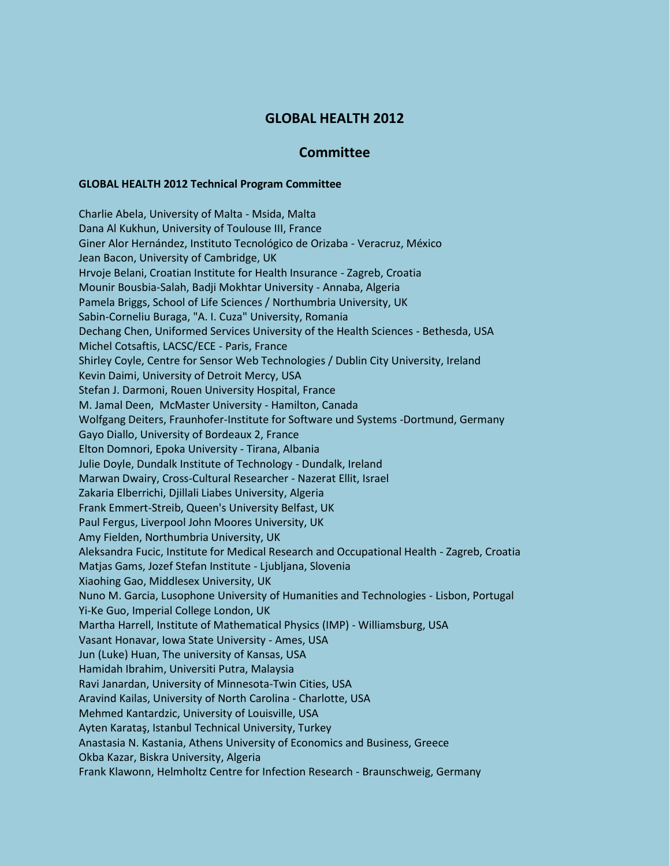## **GLOBAL HEALTH 2012**

## **Committee**

## **GLOBAL HEALTH 2012 Technical Program Committee**

Charlie Abela, University of Malta - Msida, Malta Dana Al Kukhun, University of Toulouse III, France Giner Alor Hernández, Instituto Tecnológico de Orizaba - Veracruz, México Jean Bacon, University of Cambridge, UK Hrvoje Belani, Croatian Institute for Health Insurance - Zagreb, Croatia Mounir Bousbia-Salah, Badji Mokhtar University - Annaba, Algeria Pamela Briggs, School of Life Sciences / Northumbria University, UK Sabin-Corneliu Buraga, "A. I. Cuza" University, Romania Dechang Chen, Uniformed Services University of the Health Sciences - Bethesda, USA Michel Cotsaftis, LACSC/ECE - Paris, France Shirley Coyle, Centre for Sensor Web Technologies / Dublin City University, Ireland Kevin Daimi, University of Detroit Mercy, USA Stefan J. Darmoni, Rouen University Hospital, France M. Jamal Deen, McMaster University - Hamilton, Canada Wolfgang Deiters, Fraunhofer-Institute for Software und Systems -Dortmund, Germany Gayo Diallo, University of Bordeaux 2, France Elton Domnori, Epoka University - Tirana, Albania Julie Doyle, Dundalk Institute of Technology - Dundalk, Ireland Marwan Dwairy, Cross-Cultural Researcher - Nazerat Ellit, Israel Zakaria Elberrichi, Djillali Liabes University, Algeria Frank Emmert-Streib, Queen's University Belfast, UK Paul Fergus, Liverpool John Moores University, UK Amy Fielden, Northumbria University, UK Aleksandra Fucic, Institute for Medical Research and Occupational Health - Zagreb, Croatia Matjas Gams, Jozef Stefan Institute - Ljubljana, Slovenia Xiaohing Gao, Middlesex University, UK Nuno M. Garcia, Lusophone University of Humanities and Technologies - Lisbon, Portugal Yi-Ke Guo, Imperial College London, UK Martha Harrell, Institute of Mathematical Physics (IMP) - Williamsburg, USA Vasant Honavar, Iowa State University - Ames, USA Jun (Luke) Huan, The university of Kansas, USA Hamidah Ibrahim, Universiti Putra, Malaysia Ravi Janardan, University of Minnesota-Twin Cities, USA Aravind Kailas, University of North Carolina - Charlotte, USA Mehmed Kantardzic, University of Louisville, USA Ayten Karataş, Istanbul Technical University, Turkey Anastasia N. Kastania, Athens University of Economics and Business, Greece Okba Kazar, Biskra University, Algeria Frank Klawonn, Helmholtz Centre for Infection Research - Braunschweig, Germany